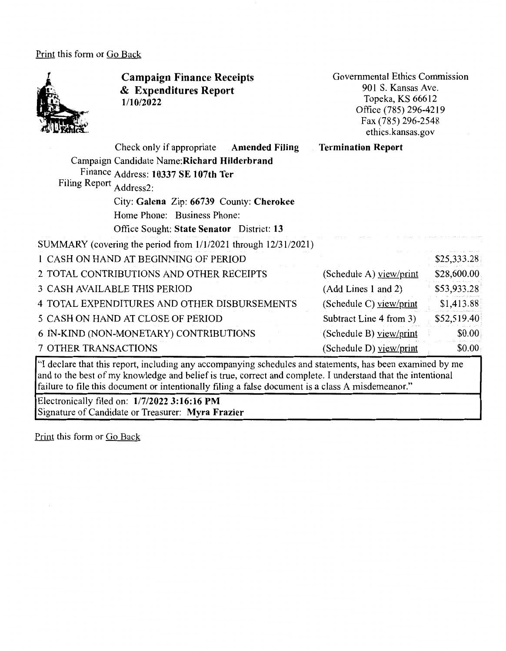Print this form or Go Back



**Campaign Finance Receipts**  & **Expenditures Report 1/10/2022** 

Governmental Ethics Commission 901 S. Kansas Ave. Topeka, KS 66612 Office (785) 296-4219 Fax (785) 296-2548 ethics.kansas.gov

| Check only if appropriate Amended Filing                                                                                 | <b>Termination Report</b> |             |
|--------------------------------------------------------------------------------------------------------------------------|---------------------------|-------------|
| Campaign Candidate Name: Richard Hilderbrand                                                                             |                           |             |
| Finance Address: 10337 SE 107th Ter                                                                                      |                           |             |
| Filing Report Address2:                                                                                                  |                           |             |
| City: Galena Zip: 66739 County: Cherokee                                                                                 |                           |             |
| Home Phone: Business Phone:                                                                                              |                           |             |
| Office Sought: State Senator District: 13                                                                                |                           |             |
| SUMMARY (covering the period from 1/1/2021 through 12/31/2021)                                                           |                           |             |
| 1 CASH ON HAND AT BEGINNING OF PERIOD                                                                                    |                           | \$25,333.28 |
| 2 TOTAL CONTRIBUTIONS AND OTHER RECEIPTS                                                                                 | (Schedule A) view/print   | \$28,600.00 |
| <b>3 CASH AVAILABLE THIS PERIOD</b>                                                                                      | (Add Lines 1 and 2)       | \$53,933.28 |
| 4 TOTAL EXPENDITURES AND OTHER DISBURSEMENTS                                                                             | (Schedule C) view/print   | \$1,413.88  |
| 5 CASH ON HAND AT CLOSE OF PERIOD                                                                                        | Subtract Line 4 from 3)   | \$52,519.40 |
| 6 IN-KIND (NON-MONETARY) CONTRIBUTIONS                                                                                   | (Schedule B) view/print   | \$0.00      |
| <b>7 OTHER TRANSACTIONS</b>                                                                                              | (Schedule D) view/print   | \$0.00      |
| $\omega$ , the least that the consistent in the line can experience in each state and statements has been examined by me |                           |             |

"I declare that this report, including any accompanying schedules and statements, has been examined by me and to the best of my knowledge and belief is true, correct and complete. I understand that the intentional failure to file this document or intentionally filing a false document is a class A misdemeanor."

Electronically filed on: **1/7/2022 3:16:16 PM**  Signature of Candidate or Treasurer: **Myra Frazier** 

Print this form or Go Back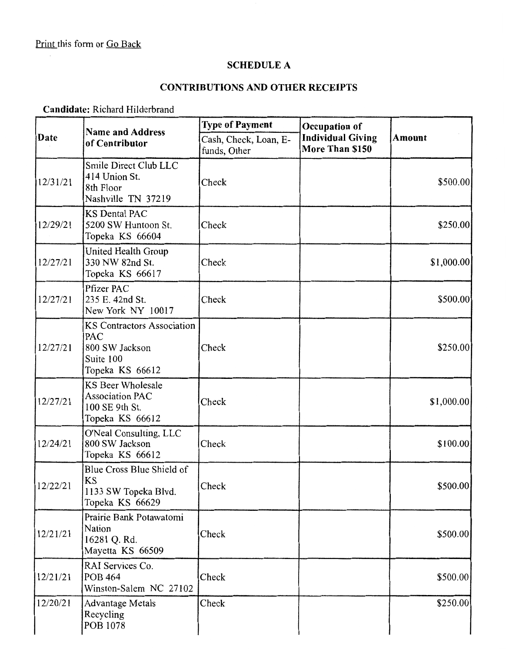$\bar{\mathcal{A}}$ 

#### **SCHEDULE A**

## **CONTRIBUTIONS AND OTHER RECEIPTS**

**Candidate:** Richard Hilderbrand

|          | <b>Name and Address</b>                                                             | <b>Type of Payment</b>                | Occupation of                               |             |
|----------|-------------------------------------------------------------------------------------|---------------------------------------|---------------------------------------------|-------------|
| Date     | of Contributor                                                                      | Cash, Check, Loan, E-<br>funds, Other | <b>Individual Giving</b><br>More Than \$150 | Amount      |
| 12/31/21 | Smile Direct Club LLC<br>414 Union St.<br>8th Floor<br>Nashville TN 37219           | Check                                 |                                             | \$500.00    |
| 12/29/21 | <b>KS Dental PAC</b><br>5200 SW Huntoon St.<br>Topeka KS 66604                      | Check                                 |                                             | \$250.00    |
| 12/27/21 | United Health Group<br>330 NW 82nd St.<br>Topeka KS 66617                           | Check                                 |                                             | \$1,000.00] |
| 12/27/21 | Pfizer PAC<br>235 E. 42nd St.<br>New York NY 10017                                  | Check                                 |                                             | \$500.00    |
| 12/27/21 | KS Contractors Association<br>PAC<br>800 SW Jackson<br>Suite 100<br>Topeka KS 66612 | Check                                 |                                             | \$250.00    |
| 12/27/21 | KS Beer Wholesale<br><b>Association PAC</b><br>100 SE 9th St.<br>Topeka KS 66612    | Check                                 |                                             | \$1,000.00] |
| 12/24/21 | O'Neal Consulting, LLC<br>800 SW Jackson<br>Topeka KS 66612                         | Check                                 |                                             | \$100.00]   |
| 12/22/21 | Blue Cross Blue Shield of<br>KS<br>1133 SW Topeka Blvd.<br>Topeka KS 66629          | Check                                 |                                             | \$500.00    |
| 12/21/21 | Prairie Bank Potawatomi<br>Nation<br>16281 Q. Rd.<br>Mayetta KS 66509               | Check                                 |                                             | \$500.00    |
| 12/21/21 | RAI Services Co.<br><b>POB 464</b><br>Winston-Salem NC 27102                        | Check                                 |                                             | \$500.00    |
| 12/20/21 | <b>Advantage Metals</b><br>Recycling<br>POB 1078                                    | Check                                 |                                             | \$250.00]   |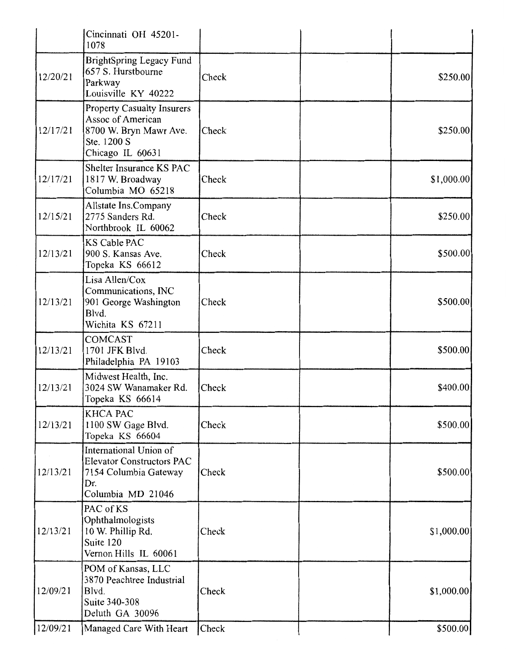|          | Cincinnati OH 45201-<br>1078                                                                                        |       |             |
|----------|---------------------------------------------------------------------------------------------------------------------|-------|-------------|
| 12/20/21 | <b>BrightSpring Legacy Fund</b><br>657 S. Hurstbourne<br>Parkway<br>Louisville KY 40222                             | Check | \$250.00    |
| 12/17/21 | <b>Property Casualty Insurers</b><br>Assoc of American<br>8700 W. Bryn Mawr Ave.<br>Ste. 1200 S<br>Chicago IL 60631 | Check | \$250.00    |
| 12/17/21 | Shelter Insurance KS PAC<br>1817 W. Broadway<br>Columbia MO 65218                                                   | Check | \$1,000.00] |
| 12/15/21 | Allstate Ins.Company<br>2775 Sanders Rd.<br>Northbrook IL 60062                                                     | Check | \$250.00    |
| 12/13/21 | <b>KS Cable PAC</b><br>900 S. Kansas Ave.<br>Topeka KS 66612                                                        | Check | \$500.00    |
| 12/13/21 | Lisa Allen/Cox<br>Communications, INC<br>901 George Washington<br>Blvd.<br>Wichita KS 67211                         | Check | \$500.00    |
| 12/13/21 | <b>COMCAST</b><br>1701 JFK Blvd.<br>Philadelphia PA 19103                                                           | Check | \$500.00    |
| 12/13/21 | Midwest Health, Inc.<br>3024 SW Wanamaker Rd.<br>Topeka KS 66614                                                    | Check | \$400.00]   |
| 12/13/21 | <b>KHCA PAC</b><br>1100 SW Gage Blvd.<br>Topeka KS 66604                                                            | Check | \$500.00    |
| 12/13/21 | International Union of<br><b>Elevator Constructors PAC</b><br>7154 Columbia Gateway<br>Dr.<br>Columbia MD 21046     | Check | \$500.00    |
| 12/13/21 | PAC of KS<br>Ophthalmologists<br>10 W. Phillip Rd.<br>Suite 120<br>Vernon Hills IL 60061                            | Check | \$1,000.00  |
| 12/09/21 | POM of Kansas, LLC<br>3870 Peachtree Industrial<br>Blvd.<br>Suite 340-308<br>Deluth GA 30096                        | Check | \$1,000.00  |
| 12/09/21 | Managed Care With Heart                                                                                             | Check | \$500.00    |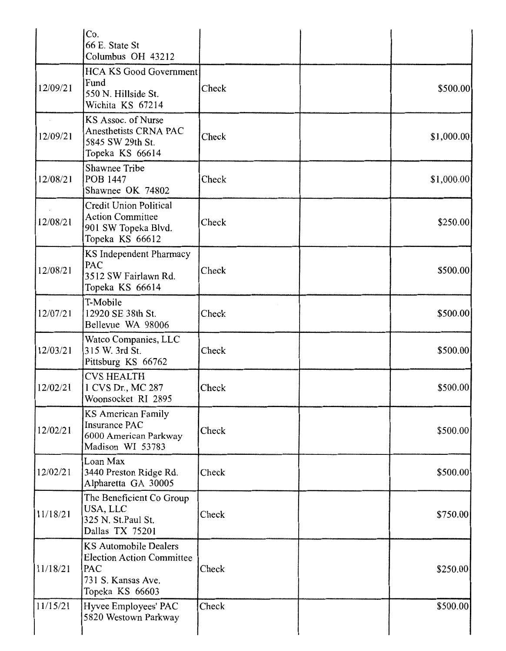|          | Co.<br>66 E. State St<br>Columbus OH 43212                                                                       |       |            |
|----------|------------------------------------------------------------------------------------------------------------------|-------|------------|
| 12/09/21 | <b>HCA KS Good Government</b><br>Fund<br>550 N. Hillside St.<br>Wichita KS 67214                                 | Check | \$500.00   |
| 12/09/21 | KS Assoc. of Nurse<br>Anesthetists CRNA PAC<br>5845 SW 29th St.<br>Topeka KS 66614                               | Check | \$1,000.00 |
| 12/08/21 | Shawnee Tribe<br>POB 1447<br>Shawnee OK 74802                                                                    | Check | \$1,000.00 |
| 12/08/21 | <b>Credit Union Political</b><br><b>Action Committee</b><br>901 SW Topeka Blvd.<br>Topeka KS 66612               | Check | \$250.00   |
| 12/08/21 | KS Independent Pharmacy<br>PAC<br>3512 SW Fairlawn Rd.<br>Topeka KS 66614                                        | Check | \$500.00   |
| 12/07/21 | T-Mobile<br>12920 SE 38th St.<br>Bellevue WA 98006                                                               | Check | \$500.00   |
| 12/03/21 | Watco Companies, LLC<br>315 W. 3rd St.<br>Pittsburg KS 66762                                                     | Check | \$500.00   |
| 12/02/21 | <b>CVS HEALTH</b><br>1 CVS Dr., MC 287<br>Woonsocket RI 2895                                                     | Check | \$500.00   |
| 12/02/21 | <b>KS American Family</b><br><b>Insurance PAC</b><br>6000 American Parkway<br>Madison WI 53783                   | Check | \$500.00   |
| 12/02/21 | Loan Max<br>3440 Preston Ridge Rd.<br>Alpharetta GA 30005                                                        | Check | \$500.00   |
| 11/18/21 | The Beneficient Co Group<br>USA, LLC<br>325 N. St.Paul St.<br>Dallas TX 75201                                    | Check | \$750.00   |
| 11/18/21 | <b>KS Automobile Dealers</b><br><b>Election Action Committee</b><br>PAC<br>731 S. Kansas Ave.<br>Topeka KS 66603 | Check | \$250.00   |
| 11/15/21 | Hyvee Employees' PAC<br>5820 Westown Parkway                                                                     | Check | \$500.00   |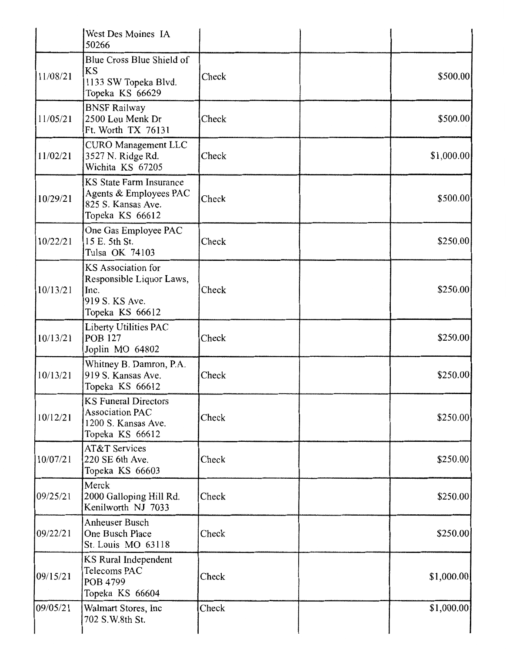|          | West Des Moines IA<br>50266                                                                       |       |             |
|----------|---------------------------------------------------------------------------------------------------|-------|-------------|
| 11/08/21 | Blue Cross Blue Shield of<br><b>KS</b><br>1133 SW Topeka Blvd.<br>Topeka KS 66629                 | Check | \$500.00    |
| 11/05/21 | <b>BNSF Railway</b><br>2500 Lou Menk Dr<br>Ft. Worth TX 76131                                     | Check | \$500.00    |
| 11/02/21 | <b>CURO Management LLC</b><br>3527 N. Ridge Rd.<br>Wichita KS 67205                               | Check | \$1,000.00  |
| 10/29/21 | <b>KS State Farm Insurance</b><br>Agents & Employees PAC<br>825 S. Kansas Ave.<br>Topeka KS 66612 | Check | \$500.00    |
| 10/22/21 | One Gas Employee PAC<br>15 E. 5th St.<br>Tulsa OK 74103                                           | Check | \$250.00]   |
| 10/13/21 | KS Association for<br>Responsible Liquor Laws,<br>Inc.<br>919 S. KS Ave.<br>Topeka KS 66612       | Check | \$250.00]   |
| 10/13/21 | Liberty Utilities PAC<br><b>POB 127</b><br>Joplin MO 64802                                        | Check | \$250.00]   |
| 10/13/21 | Whitney B. Damron, P.A.<br>919 S. Kansas Ave.<br>Topeka KS 66612                                  | Check | \$250.00    |
| 10/12/21 | <b>KS Funeral Directors</b><br><b>Association PAC</b><br>1200 S. Kansas Ave.<br>Topeka KS 66612   | Check | \$250.00    |
| 10/07/21 | <b>AT&amp;T Services</b><br>220 SE 6th Ave.<br>Topeka KS 66603                                    | Check | \$250.00    |
| 09/25/21 | Merck<br>2000 Galloping Hill Rd.<br>Kenilworth NJ 7033                                            | Check | \$250.00    |
| 09/22/21 | Anheuser Busch<br>One Busch Place<br>St. Louis MO 63118                                           | Check | \$250.00    |
| 09/15/21 | KS Rural Independent<br>Telecoms PAC<br>POB 4799<br>Topeka KS 66604                               | Check | \$1,000.00  |
| 09/05/21 | Walmart Stores, Inc<br>702 S.W.8th St.                                                            | Check | \$1,000.00] |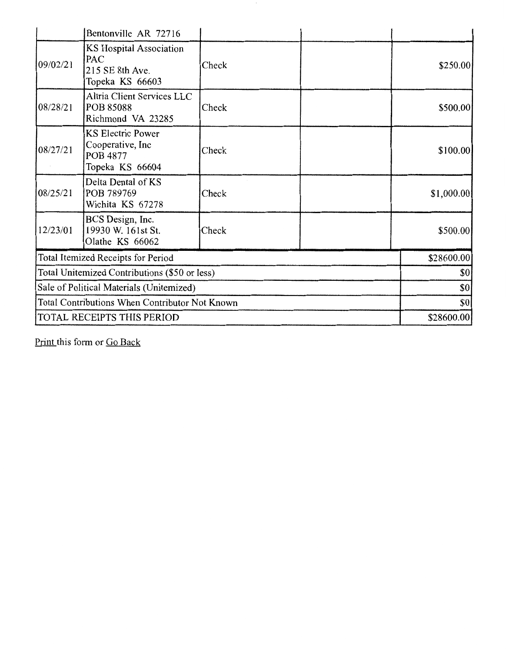|                                                | Bentonville AR 72716                                                         |       |     |            |
|------------------------------------------------|------------------------------------------------------------------------------|-------|-----|------------|
| 09/02/21                                       | <b>KS Hospital Association</b><br>PAC<br>215 SE 8th Ave.<br>Topeka KS 66603  | Check |     | \$250.00   |
| 08/28/21                                       | Altria Client Services LLC<br><b>POB 85088</b><br>Richmond VA 23285          | Check |     | \$500.00   |
| 08/27/21                                       | <b>KS Electric Power</b><br>Cooperative, Inc.<br>POB 4877<br>Topeka KS 66604 | Check |     | \$100.00]  |
| 08/25/21                                       | Delta Dental of KS<br>POB 789769<br>Wichita KS 67278                         | Check |     | \$1,000.00 |
| 12/23/01                                       | BCS Design, Inc.<br>19930 W. 161st St.<br>Olathe KS 66062                    | Check |     | \$500.00   |
|                                                | Total Itemized Receipts for Period                                           |       |     | \$28600.00 |
| Total Unitemized Contributions (\$50 or less)  |                                                                              |       | \$0 |            |
| Sale of Political Materials (Unitemized)       |                                                                              | \$0   |     |            |
| Total Contributions When Contributor Not Known |                                                                              |       | \$0 |            |
|                                                | TOTAL RECEIPTS THIS PERIOD                                                   |       |     | \$28600.00 |

Print this form or Go Back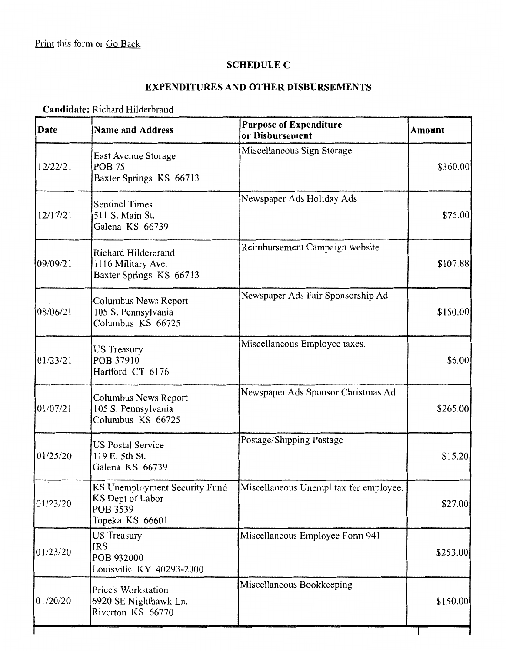#### **SCHEDULE C**

### **EXPENDITURES AND OTHER DISBURSEMENTS**

### **Candidate:** Richard Hilderbrand

| <b>Date</b> | <b>Name and Address</b>                                                          | <b>Purpose of Expenditure</b><br>or Disbursement | <b>Amount</b> |
|-------------|----------------------------------------------------------------------------------|--------------------------------------------------|---------------|
| 12/22/21    | East Avenue Storage<br><b>POB 75</b><br>Baxter Springs KS 66713                  | Miscellaneous Sign Storage                       | \$360.00      |
| 12/17/21    | <b>Sentinel Times</b><br>511 S. Main St.<br>Galena KS 66739                      | Newspaper Ads Holiday Ads                        | \$75.00       |
| 09/09/21    | Richard Hilderbrand<br>1116 Military Ave.<br>Baxter Springs KS 66713             | Reimbursement Campaign website                   | \$107.88      |
| 08/06/21    | Columbus News Report<br>105 S. Pennsylvania<br>Columbus KS 66725                 | Newspaper Ads Fair Sponsorship Ad                | \$150.00      |
| 01/23/21    | <b>US Treasury</b><br>POB 37910<br>Hartford CT 6176                              | Miscellaneous Employee taxes.                    | \$6.00        |
| 01/07/21    | Columbus News Report<br>105 S. Pennsylvania<br>Columbus KS 66725                 | Newspaper Ads Sponsor Christmas Ad               | \$265.00      |
| 01/25/20    | <b>US Postal Service</b><br>119 E. 5th St.<br>Galena KS 66739                    | Postage/Shipping Postage                         | \$15.20       |
| 01/23/20    | KS Unemployment Security Fund<br>KS Dept of Labor<br>POB 3539<br>Topeka KS 66601 | Miscellaneous Unempl tax for employee.           | \$27.00       |
| 01/23/20    | <b>US Treasury</b><br><b>IRS</b><br>POB 932000<br>Louisville KY 40293-2000       | Miscellaneous Employee Form 941                  | \$253.00      |
| 01/20/20    | Price's Workstation<br>6920 SE Nighthawk Ln.<br>Riverton KS 66770                | Miscellaneous Bookkeeping                        | \$150.00]     |
|             |                                                                                  |                                                  |               |